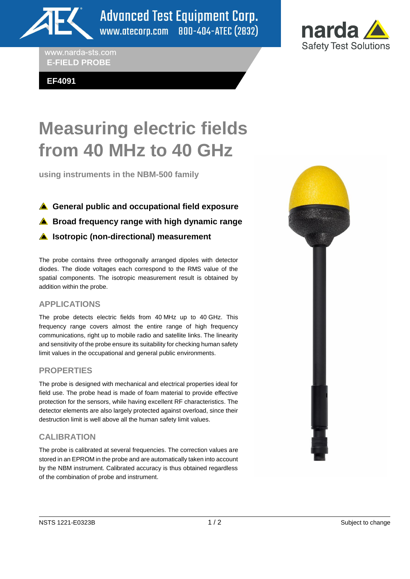

**Advanced Test Equipment Corp.** www.atecorp.com 800-404-ATEC (2832)

www.narda-sts.com **E-FIELD PROBE**

**EF4091**



**using instruments in the NBM-500 family**

- **A** General public and occupational field exposure
- **A** Broad frequency range with high dynamic range

## **A** Isotropic (non-directional) measurement

The probe contains three orthogonally arranged dipoles with detector diodes. The diode voltages each correspond to the RMS value of the spatial components. The isotropic measurement result is obtained by addition within the probe.

## **APPLICATIONS**

The probe detects electric fields from 40 MHz up to 40 GHz. This frequency range covers almost the entire range of high frequency communications, right up to mobile radio and satellite links. The linearity and sensitivity of the probe ensure its suitability for checking human safety limit values in the occupational and general public environments.

## **PROPERTIES**

The probe is designed with mechanical and electrical properties ideal for field use. The probe head is made of foam material to provide effective protection for the sensors, while having excellent RF characteristics. The detector elements are also largely protected against overload, since their destruction limit is well above all the human safety limit values.

## **CALIBRATION**

The probe is calibrated at several frequencies. The correction values are stored in an EPROM in the probe and are automatically taken into account by the NBM instrument. Calibrated accuracy is thus obtained regardless of the combination of probe and instrument.